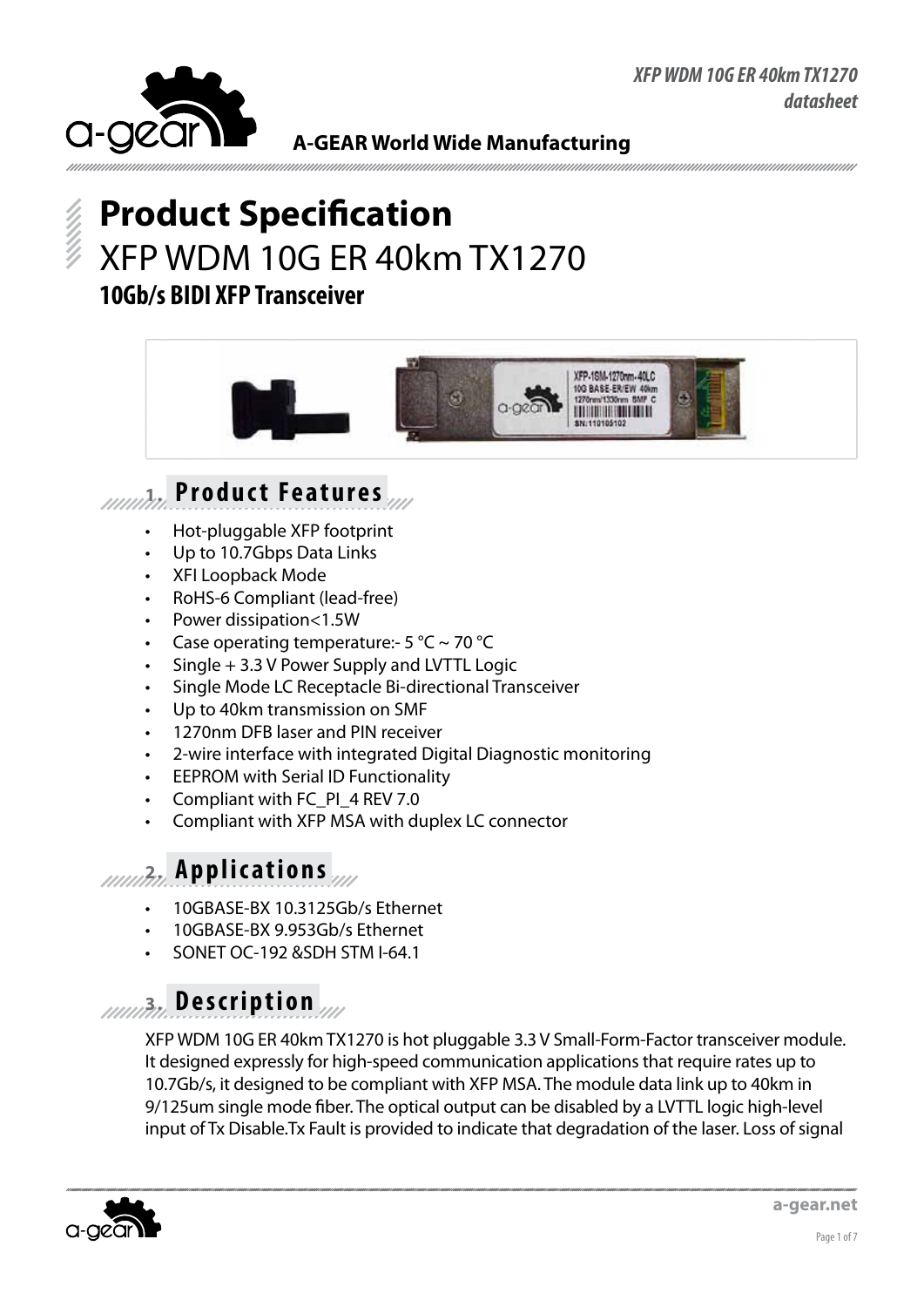

# **Product Specification** XFP WDM 10G ER 40km TX1270 **10Gb/s BIDI XFP Transceiver**



## **1. Product Features**

- Hot-pluggable XFP footprint
- Up to 10.7Gbps Data Links
- **XFI Loopback Mode**
- RoHS-6 Compliant (lead-free)
- Power dissipation<1.5W
- Case operating temperature:-  $5^{\circ}$ C ~ 70 °C
- $Single + 3.3 V$  Power Supply and LVTTL Logic
- Single Mode LC Receptacle Bi-directional Transceiver
- Up to 40km transmission on SMF
- 1270nm DFB laser and PIN receiver
- 2-wire interface with integrated Digital Diagnostic monitoring
- **EEPROM with Serial ID Functionality**
- Compliant with FC\_PI\_4 REV 7.0
- Compliant with XFP MSA with duplex LC connector

#### **2. Applications**

- 10GBASE-BX 10.3125Gb/s Ethernet
- 10GBASE-BX 9.953Gb/s Ethernet
- SONET OC-192 &SDH STM I-64.1

### **3. Description**

XFP WDM 10G ER 40km TX1270 is hot pluggable 3.3 V Small-Form-Factor transceiver module. It designed expressly for high-speed communication applications that require rates up to 10.7Gb/s, it designed to be compliant with XFP MSA. The module data link up to 40km in 9/125um single mode fiber. The optical output can be disabled by a LVTTL logic high-level input of Tx Disable.Tx Fault is provided to indicate that degradation of the laser. Loss of signal

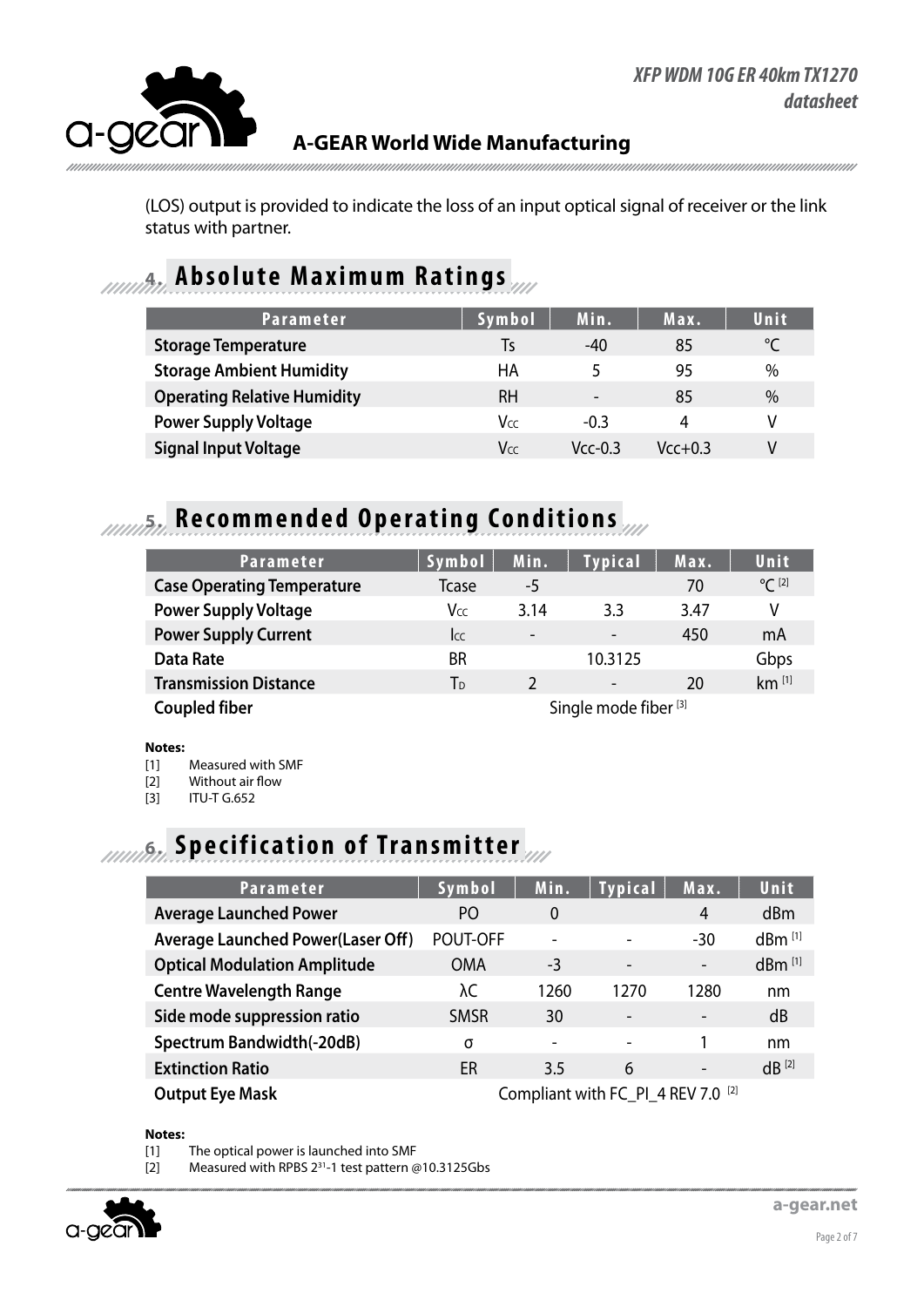

(LOS) output is provided to indicate the loss of an input optical signal of receiver or the link status with partner.

#### **4. Absolute Maximum Ratings**

| <b>Parameter</b>                   | Symbol | Min.                     | Max.      | Unit |
|------------------------------------|--------|--------------------------|-----------|------|
| <b>Storage Temperature</b>         | Ts     | $-40$                    | 85        | °C   |
| <b>Storage Ambient Humidity</b>    | НA     | 5                        | 95        | $\%$ |
| <b>Operating Relative Humidity</b> | RН     | $\overline{\phantom{a}}$ | 85        | $\%$ |
| <b>Power Supply Voltage</b>        | Vcc    | $-0.3$                   | 4         | V    |
| <b>Signal Input Voltage</b>        | Vcc    | $Vcc-0.3$                | $Vcc+0.3$ | V    |

# **5. Recommended Operating Conditions**

| <b>Parameter</b>                  | Symbol                           | Min.                     | <b>Typical</b>           | Max. | <b>Unit</b>         |
|-----------------------------------|----------------------------------|--------------------------|--------------------------|------|---------------------|
| <b>Case Operating Temperature</b> | <b>T</b> case                    | -5                       |                          | 70   | $^{\circ}C^{[2]}$   |
| <b>Power Supply Voltage</b>       | <b>V</b> cc                      | 3.14                     | 3.3                      | 3.47 | V                   |
| <b>Power Supply Current</b>       | <b>I</b> cc                      | $\overline{\phantom{0}}$ | $\overline{\phantom{a}}$ | 450  | mA                  |
| <b>Data Rate</b>                  | <b>BR</b>                        |                          | 10.3125                  |      | Gbps                |
| <b>Transmission Distance</b>      | T <sub>D</sub>                   |                          | $\overline{\phantom{a}}$ | 20   | $km$ <sup>[1]</sup> |
| <b>Coupled fiber</b>              | Single mode fiber <sup>[3]</sup> |                          |                          |      |                     |

#### **Notes:**

[1] Measured with SMF

[2] Without air flow

[3] ITU-T G.652

## **6.** *Innufin* Specification of Transmitter

| <b>Parameter</b>                         | Symbol                                        | Min.                     | <b>Typical</b>           | Max.                     | <b>Unit</b>          |
|------------------------------------------|-----------------------------------------------|--------------------------|--------------------------|--------------------------|----------------------|
| <b>Average Launched Power</b>            | P <sub>O</sub>                                | $\Omega$                 |                          | $\overline{4}$           | d <sub>Bm</sub>      |
| <b>Average Launched Power(Laser Off)</b> | POUT-OFF                                      | $\overline{\phantom{0}}$ |                          | $-30$                    | $dBm$ <sup>[1]</sup> |
| <b>Optical Modulation Amplitude</b>      | <b>OMA</b>                                    | -3                       | $\overline{\phantom{a}}$ | $\overline{\phantom{a}}$ | dBm [1]              |
| <b>Centre Wavelength Range</b>           | λC                                            | 1260                     | 1270                     | 1280                     | nm                   |
| Side mode suppression ratio              | <b>SMSR</b>                                   | 30                       |                          | $\overline{\phantom{a}}$ | dB                   |
| <b>Spectrum Bandwidth(-20dB)</b>         | σ                                             | $\overline{\phantom{a}}$ | $\overline{\phantom{0}}$ |                          | nm                   |
| <b>Extinction Ratio</b>                  | ER                                            | 3.5                      | 6                        | $\overline{\phantom{a}}$ | $dB^{[2]}$           |
| <b>Output Eye Mask</b>                   | Compliant with FC_PI_4 REV 7.0 <sup>[2]</sup> |                          |                          |                          |                      |

**Notes:**

[1] The optical power is launched into SMF

[2] Measured with RPBS 2<sup>31</sup>-1 test pattern @10.3125Gbs

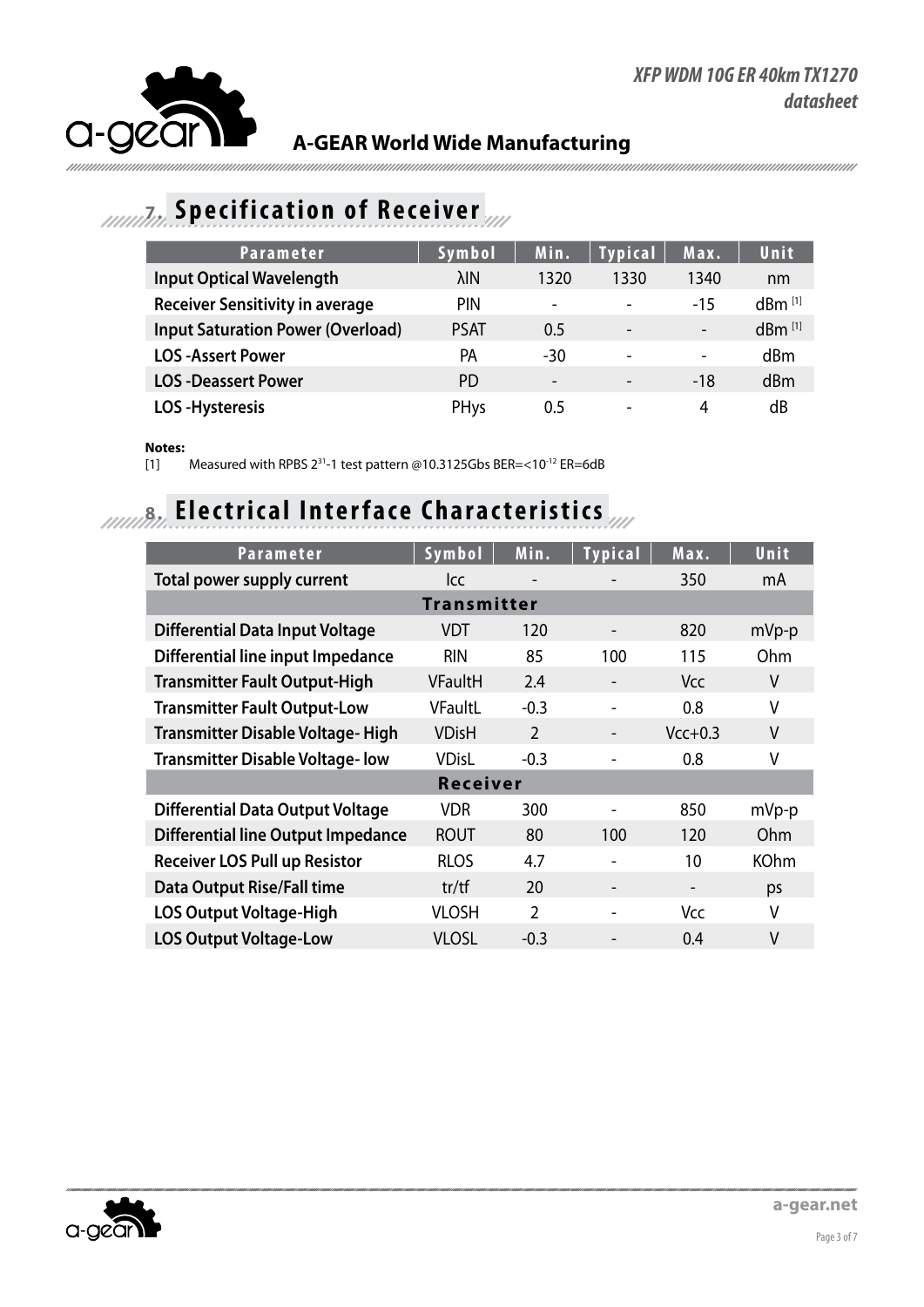

#### **7. Specification of Receiver**

| <b>Parameter</b>                         | Symbol      | Min.                     | <b>Typical</b>               | Max.                     | Unit                 |
|------------------------------------------|-------------|--------------------------|------------------------------|--------------------------|----------------------|
| <b>Input Optical Wavelength</b>          | λIΝ         | 1320                     | 1330                         | 1340                     | nm                   |
| <b>Receiver Sensitivity in average</b>   | <b>PIN</b>  | $\overline{\phantom{a}}$ | $\qquad \qquad \blacksquare$ | $-15$                    | $dBm$ <sup>[1]</sup> |
| <b>Input Saturation Power (Overload)</b> | <b>PSAT</b> | 0.5                      | $\overline{\phantom{0}}$     | $\overline{\phantom{a}}$ | $dBm$ <sup>[1]</sup> |
| <b>LOS</b> - Assert Power                | РA          | -30                      | $\overline{\phantom{0}}$     | $\overline{\phantom{a}}$ | dBm                  |
| <b>LOS-Deassert Power</b>                | PD.         | $\overline{\phantom{0}}$ |                              | $-18$                    | dBm                  |
| <b>LOS-Hysteresis</b>                    | PHys        | 0.5                      | $\overline{\phantom{0}}$     | 4                        | dB                   |

#### **Notes:**

[1] Measured with RPBS 231-1 test pattern @10.3125Gbs BER=<10-12 ER=6dB

## **8. Electrical Interface Characteristics**

| <b>Parameter</b>                          | Symbol             | Min.                     | <b>Typical</b>           | Max.                     | Unit        |  |  |  |
|-------------------------------------------|--------------------|--------------------------|--------------------------|--------------------------|-------------|--|--|--|
| Total power supply current                | lcc                | $\overline{\phantom{a}}$ |                          | 350                      | mA          |  |  |  |
|                                           | <b>Transmitter</b> |                          |                          |                          |             |  |  |  |
| <b>Differential Data Input Voltage</b>    | <b>VDT</b>         | 120                      | $\overline{\phantom{a}}$ | 820                      | $mVp-p$     |  |  |  |
| Differential line input Impedance         | <b>RIN</b>         | 85                       | 100                      | 115                      | Ohm         |  |  |  |
| <b>Transmitter Fault Output-High</b>      | <b>VFaultH</b>     | 2.4                      | $\overline{\phantom{a}}$ | <b>Vcc</b>               | ۷           |  |  |  |
| <b>Transmitter Fault Output-Low</b>       | <b>VFaultL</b>     | $-0.3$                   |                          | 0.8                      | V           |  |  |  |
| <b>Transmitter Disable Voltage-High</b>   | <b>VDisH</b>       | $\overline{2}$           | $\overline{\phantom{a}}$ | $Vcc+0.3$                | V           |  |  |  |
| <b>Transmitter Disable Voltage-low</b>    | <b>VDisL</b>       | $-0.3$                   |                          | 0.8                      | V           |  |  |  |
| <b>Receiver</b>                           |                    |                          |                          |                          |             |  |  |  |
| <b>Differential Data Output Voltage</b>   | <b>VDR</b>         | 300                      |                          | 850                      | $mVp-p$     |  |  |  |
| <b>Differential line Output Impedance</b> | <b>ROUT</b>        | 80                       | 100                      | 120                      | Ohm         |  |  |  |
| <b>Receiver LOS Pull up Resistor</b>      | <b>RLOS</b>        | 4.7                      |                          | 10                       | <b>KOhm</b> |  |  |  |
| <b>Data Output Rise/Fall time</b>         | tr/tf              | 20                       | $\overline{\phantom{a}}$ | $\overline{\phantom{a}}$ | ps          |  |  |  |
| <b>LOS Output Voltage-High</b>            | <b>VLOSH</b>       | $\overline{2}$           |                          | Vcc                      | V           |  |  |  |
| <b>LOS Output Voltage-Low</b>             | <b>VLOSL</b>       | $-0.3$                   |                          | 0.4                      | V           |  |  |  |

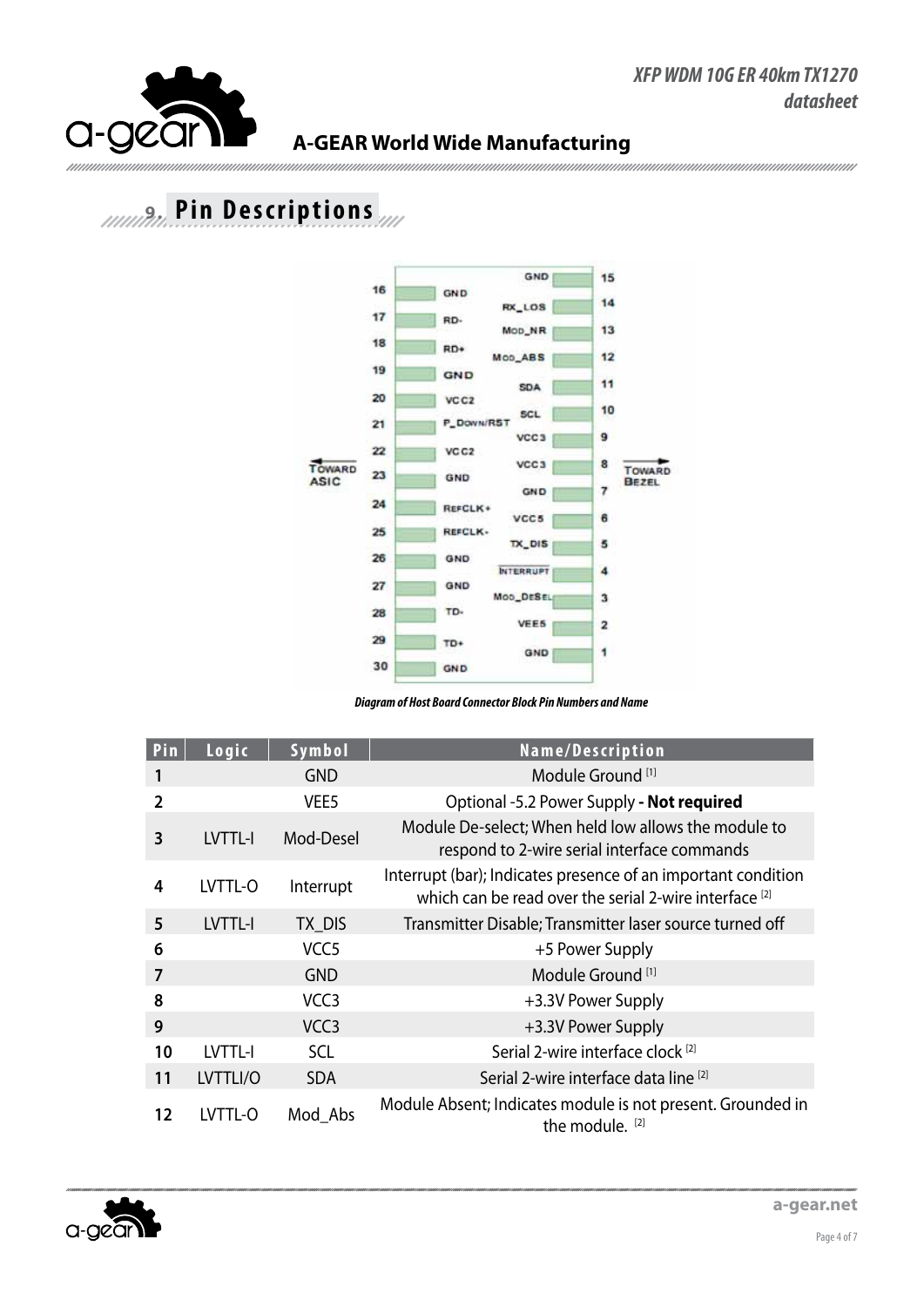

### **9. Pin Descriptions**



*Diagram of Host Board Connector Block Pin Numbers and Name*

| Pin            | Logic     | Symbol           | Name/Description                                                                                                        |
|----------------|-----------|------------------|-------------------------------------------------------------------------------------------------------------------------|
|                |           | <b>GND</b>       | Module Ground <sup>[1]</sup>                                                                                            |
| 2              |           | VEE <sub>5</sub> | Optional -5.2 Power Supply - Not required                                                                               |
| 3              | LVTTL-I   | Mod-Desel        | Module De-select; When held low allows the module to<br>respond to 2-wire serial interface commands                     |
| 4              | LVTTL-O   | Interrupt        | Interrupt (bar); Indicates presence of an important condition<br>which can be read over the serial 2-wire interface [2] |
| 5              | LVTTL-I   | TX DIS           | Transmitter Disable; Transmitter laser source turned off                                                                |
| 6              |           | VCC <sub>5</sub> | +5 Power Supply                                                                                                         |
| $\overline{7}$ |           | <b>GND</b>       | Module Ground <sup>[1]</sup>                                                                                            |
| 8              |           | VCC <sub>3</sub> | +3.3V Power Supply                                                                                                      |
| 9              |           | VCC <sub>3</sub> | +3.3V Power Supply                                                                                                      |
| 10             | LVTTL-I   | <b>SCL</b>       | Serial 2-wire interface clock <sup>[2]</sup>                                                                            |
| 11             | LVTTLI/O  | <b>SDA</b>       | Serial 2-wire interface data line [2]                                                                                   |
| 12             | I VTTI -O | Mod Abs          | Module Absent; Indicates module is not present. Grounded in<br>the module. [2]                                          |

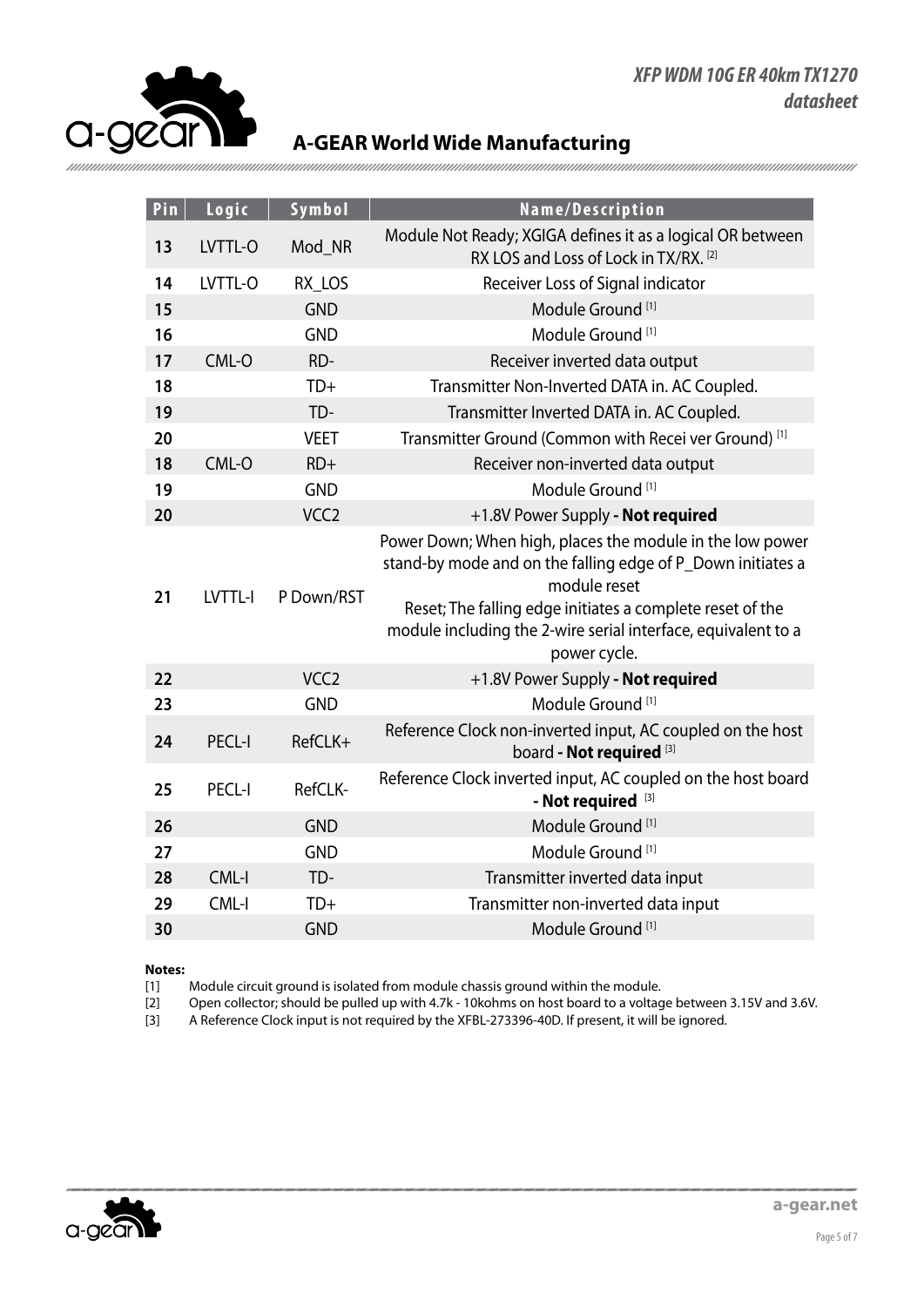#### *XFP WDM 10G ER 40km TX1270 datasheet*



#### **A-GEAR World Wide Manufacturing**

| Pin | Logic         | Symbol           | Name/Description                                                                                                                                                                                                                                                                       |  |
|-----|---------------|------------------|----------------------------------------------------------------------------------------------------------------------------------------------------------------------------------------------------------------------------------------------------------------------------------------|--|
| 13  | LVTTL-O       | Mod_NR           | Module Not Ready; XGIGA defines it as a logical OR between<br>RX LOS and Loss of Lock in TX/RX. [2]                                                                                                                                                                                    |  |
| 14  | LVTTL-O       | RX_LOS           | Receiver Loss of Signal indicator                                                                                                                                                                                                                                                      |  |
| 15  |               | <b>GND</b>       | Module Ground <sup>[1]</sup>                                                                                                                                                                                                                                                           |  |
| 16  |               | <b>GND</b>       | Module Ground <sup>[1]</sup>                                                                                                                                                                                                                                                           |  |
| 17  | CML-O         | RD-              | Receiver inverted data output                                                                                                                                                                                                                                                          |  |
| 18  |               | $TD+$            | Transmitter Non-Inverted DATA in. AC Coupled.                                                                                                                                                                                                                                          |  |
| 19  |               | TD-              | Transmitter Inverted DATA in. AC Coupled.                                                                                                                                                                                                                                              |  |
| 20  |               | <b>VEET</b>      | Transmitter Ground (Common with Recei ver Ground) <sup>[1]</sup>                                                                                                                                                                                                                       |  |
| 18  | CML-O         | $RD+$            | Receiver non-inverted data output                                                                                                                                                                                                                                                      |  |
| 19  |               | <b>GND</b>       | Module Ground <sup>[1]</sup>                                                                                                                                                                                                                                                           |  |
| 20  |               | VCC <sub>2</sub> | +1.8V Power Supply - Not required                                                                                                                                                                                                                                                      |  |
| 21  | LVTTL-I       | P Down/RST       | Power Down; When high, places the module in the low power<br>stand-by mode and on the falling edge of P_Down initiates a<br>module reset<br>Reset; The falling edge initiates a complete reset of the<br>module including the 2-wire serial interface, equivalent to a<br>power cycle. |  |
| 22  |               | VCC <sub>2</sub> | +1.8V Power Supply - Not required                                                                                                                                                                                                                                                      |  |
| 23  |               | <b>GND</b>       | Module Ground <sup>[1]</sup>                                                                                                                                                                                                                                                           |  |
| 24  | <b>PECL-I</b> | RefCLK+          | Reference Clock non-inverted input, AC coupled on the host<br>board - Not required <sup>[3]</sup>                                                                                                                                                                                      |  |
| 25  | PECL-I        | RefCLK-          | Reference Clock inverted input, AC coupled on the host board<br>- Not required [3]                                                                                                                                                                                                     |  |
| 26  |               | <b>GND</b>       | Module Ground <sup>[1]</sup>                                                                                                                                                                                                                                                           |  |
| 27  |               | <b>GND</b>       | Module Ground <sup>[1]</sup>                                                                                                                                                                                                                                                           |  |
| 28  | CML-I         | TD-              | Transmitter inverted data input                                                                                                                                                                                                                                                        |  |
| 29  | CML-I         | $TD+$            | Transmitter non-inverted data input                                                                                                                                                                                                                                                    |  |
| 30  |               | <b>GND</b>       | Module Ground <sup>[1]</sup>                                                                                                                                                                                                                                                           |  |

#### **Notes:**

[1] Module circuit ground is isolated from module chassis ground within the module.<br>[2] Open collector; should be pulled up with 4.7k - 10kohms on host board to a voltag Open collector; should be pulled up with 4.7k - 10kohms on host board to a voltage between 3.15V and 3.6V.

[3] A Reference Clock input is not required by the XFBL-273396-40D. If present, it will be ignored.

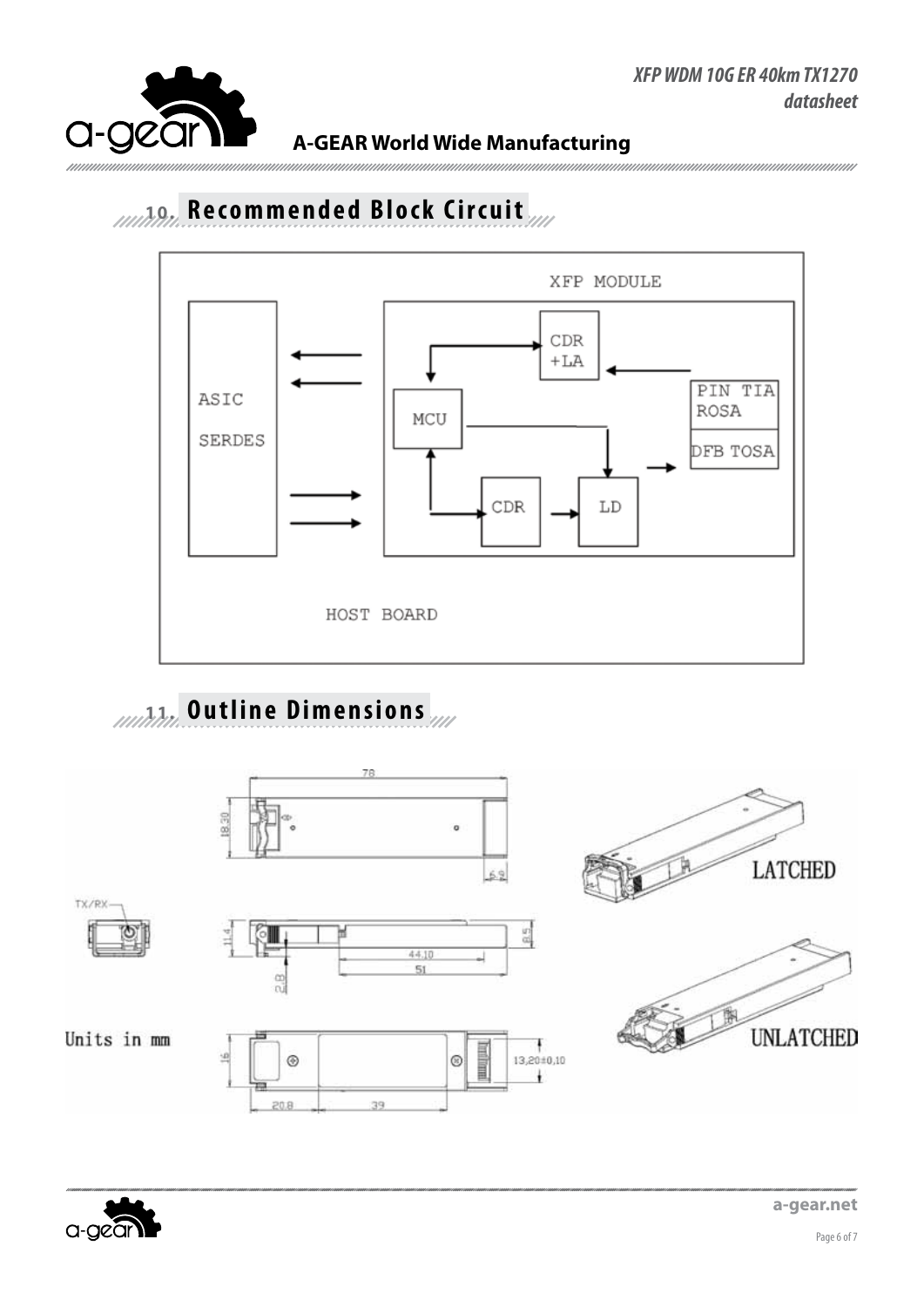

## 10.10. Recommended Block Circuit



# **11. Outline Dimensions**